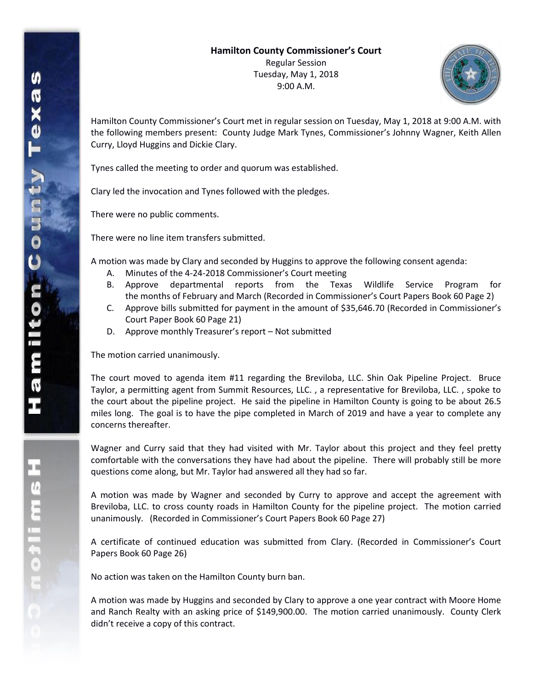Tuesday, May 1, 2018 9:00 A.M.



Hamilton County Commissioner's Court met in regular session on Tuesday, May 1, 2018 at 9:00 A.M. with the following members present: County Judge Mark Tynes, Commissioner's Johnny Wagner, Keith Allen Curry, Lloyd Huggins and Dickie Clary.

Tynes called the meeting to order and quorum was established.

Clary led the invocation and Tynes followed with the pledges.

There were no public comments.

There were no line item transfers submitted.

A motion was made by Clary and seconded by Huggins to approve the following consent agenda:

- A. Minutes of the 4-24-2018 Commissioner's Court meeting
- B. Approve departmental reports from the Texas Wildlife Service Program for the months of February and March (Recorded in Commissioner's Court Papers Book 60 Page 2)
- C. Approve bills submitted for payment in the amount of \$35,646.70 (Recorded in Commissioner's Court Paper Book 60 Page 21)
- D. Approve monthly Treasurer's report Not submitted

The motion carried unanimously.

The court moved to agenda item #11 regarding the Breviloba, LLC. Shin Oak Pipeline Project. Bruce Taylor, a permitting agent from Summit Resources, LLC. , a representative for Breviloba, LLC. , spoke to the court about the pipeline project. He said the pipeline in Hamilton County is going to be about 26.5 miles long. The goal is to have the pipe completed in March of 2019 and have a year to complete any concerns thereafter.

Wagner and Curry said that they had visited with Mr. Taylor about this project and they feel pretty comfortable with the conversations they have had about the pipeline. There will probably still be more questions come along, but Mr. Taylor had answered all they had so far.

A motion was made by Wagner and seconded by Curry to approve and accept the agreement with Breviloba, LLC. to cross county roads in Hamilton County for the pipeline project. The motion carried unanimously. (Recorded in Commissioner's Court Papers Book 60 Page 27)

A certificate of continued education was submitted from Clary. (Recorded in Commissioner's Court Papers Book 60 Page 26)

No action was taken on the Hamilton County burn ban.

A motion was made by Huggins and seconded by Clary to approve a one year contract with Moore Home and Ranch Realty with an asking price of \$149,900.00. The motion carried unanimously. County Clerk didn't receive a copy of this contract.